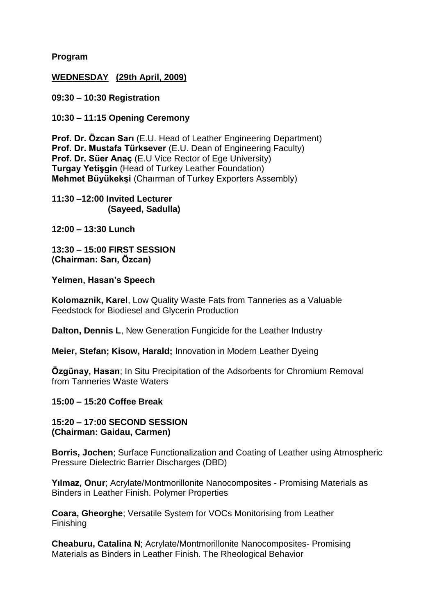**Program**

### **WEDNESDAY (29th April, 2009)**

**09:30 – 10:30 Registration**

**10:30 – 11:15 Opening Ceremony**

**Prof. Dr. Özcan Sarı** (E.U. Head of Leather Engineering Department) **Prof. Dr. Mustafa Türksever** (E.U. Dean of Engineering Faculty) **Prof. Dr. Süer Anac** (E.U Vice Rector of Ege University) **Turgay Yetişgin** (Head of Turkey Leather Foundation) **Mehmet Büyükekşi** (Chaırman of Turkey Exporters Assembly)

**11:30 –12:00 Invited Lecturer (Sayeed, Sadulla)**

**12:00 – 13:30 Lunch** 

**13:30 – 15:00 FIRST SESSION (Chairman: Sarı, Özcan)**

#### **Yelmen, Hasan's Speech**

**Kolomaznik, Karel**, Low Quality Waste Fats from Tanneries as a Valuable Feedstock for Biodiesel and Glycerin Production

**Dalton, Dennis L**, New Generation Fungicide for the Leather Industry

**Meier, Stefan; Kisow, Harald;** Innovation in Modern Leather Dyeing

**Özgünay, Hasan**; In Situ Precipitation of the Adsorbents for Chromium Removal from Tanneries Waste Waters

#### **15:00 – 15:20 Coffee Break**

**15:20 – 17:00 SECOND SESSION (Chairman: Gaidau, Carmen)**

**Borris, Jochen**; Surface Functionalization and Coating of Leather using Atmospheric Pressure Dielectric Barrier Discharges (DBD)

**Yılmaz, Onur**; Acrylate/Montmorillonite Nanocomposites - Promising Materials as Binders in Leather Finish. Polymer Properties

**Coara, Gheorghe**; Versatile System for VOCs Monitorising from Leather Finishing

**Cheaburu, Catalina N**; Acrylate/Montmorillonite Nanocomposites- Promising Materials as Binders in Leather Finish. The Rheological Behavior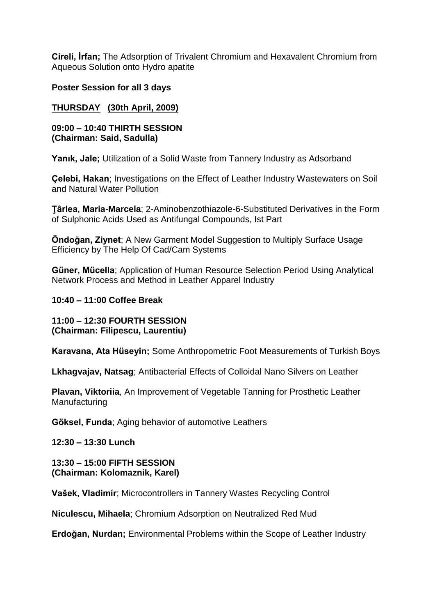**Cireli, İrfan;** The Adsorption of Trivalent Chromium and Hexavalent Chromium from Aqueous Solution onto Hydro apatite

**Poster Session for all 3 days**

# **THURSDAY (30th April, 2009)**

#### **09:00 – 10:40 THIRTH SESSION (Chairman: Said, Sadulla)**

**Yanık, Jale;** Utilization of a Solid Waste from Tannery Industry as Adsorband

**Çelebi, Hakan**; Investigations on the Effect of Leather Industry Wastewaters on Soil and Natural Water Pollution

**Ţârlea, Maria-Marcela**; 2-Aminobenzothiazole-6-Substituted Derivatives in the Form of Sulphonic Acids Used as Antifungal Compounds, Ist Part

**Öndoğan, Ziynet**; A New Garment Model Suggestion to Multiply Surface Usage Efficiency by The Help Of Cad/Cam Systems

**Güner, Mücella**; Application of Human Resource Selection Period Using Analytical Network Process and Method in Leather Apparel Industry

**10:40 – 11:00 Coffee Break** 

**11:00 – 12:30 FOURTH SESSION (Chairman: Filipescu, Laurentiu)**

**Karavana, Ata Hüseyin;** Some Anthropometric Foot Measurements of Turkish Boys

**Lkhagvajav, Natsag**; Antibacterial Effects of Colloidal Nano Silvers on Leather

**Plavan, Viktoriia**, An Improvement of Vegetable Tanning for Prosthetic Leather **Manufacturing** 

**Göksel, Funda**; Aging behavior of automotive Leathers

**12:30 – 13:30 Lunch** 

**13:30 – 15:00 FIFTH SESSION (Chairman: Kolomaznik, Karel)**

**Vašek, Vladimír**; Microcontrollers in Tannery Wastes Recycling Control

**Niculescu, Mihaela**; Chromium Adsorption on Neutralized Red Mud

**Erdoğan, Nurdan;** Environmental Problems within the Scope of Leather Industry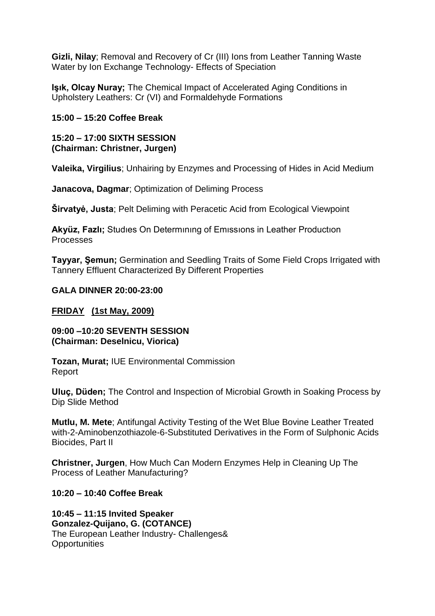**Gizli, Nilay**; Removal and Recovery of Cr (III) Ions from Leather Tanning Waste Water by Ion Exchange Technology- Effects of Speciation

**Işık, Olcay Nuray;** The Chemical Impact of Accelerated Aging Conditions in Upholstery Leathers: Cr (VI) and Formaldehyde Formations

## **15:00 – 15:20 Coffee Break**

### **15:20 – 17:00 SIXTH SESSION (Chairman: Christner, Jurgen)**

**Valeika, Virgilius**; Unhairing by Enzymes and Processing of Hides in Acid Medium

**Janacova, Dagmar**; Optimization of Deliming Process

**Širvatyė, Justa**; Pelt Deliming with Peracetic Acid from Ecological Viewpoint

**Akyüz, Fazlı;** Studıes On Determınıng of Emıssıons in Leather Productıon Processes

**Tayyar, Şemun;** Germination and Seedling Traits of Some Field Crops Irrigated with Tannery Effluent Characterized By Different Properties

## **GALA DINNER 20:00-23:00**

# **FRIDAY (1st May, 2009)**

### **09:00 –10:20 SEVENTH SESSION (Chairman: Deselnicu, Viorica)**

**Tozan, Murat;** IUE Environmental Commission Report

**Uluç, Düden;** The Control and Inspection of Microbial Growth in Soaking Process by Dip Slide Method

**Mutlu, M. Mete**; Antifungal Activity Testing of the Wet Blue Bovine Leather Treated with-2-Aminobenzothiazole-6-Substituted Derivatives in the Form of Sulphonic Acids Biocides, Part II

**Christner, Jurgen**, How Much Can Modern Enzymes Help in Cleaning Up The Process of Leather Manufacturing?

**10:20 – 10:40 Coffee Break**

**10:45 – 11:15 Invited Speaker Gonzalez-Quijano, G. (COTANCE)**  The European Leather Industry- Challenges& **Opportunities**